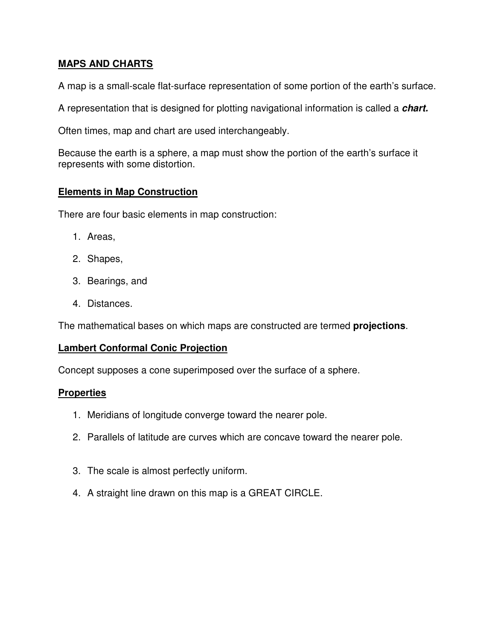### **MAPS AND CHARTS**

A map is a small-scale flat-surface representation of some portion of the earth's surface.

A representation that is designed for plotting navigational information is called a **chart.** 

Often times, map and chart are used interchangeably.

Because the earth is a sphere, a map must show the portion of the earth's surface it represents with some distortion.

#### **Elements in Map Construction**

There are four basic elements in map construction:

- 1. Areas,
- 2. Shapes,
- 3. Bearings, and
- 4. Distances.

The mathematical bases on which maps are constructed are termed **projections**.

#### **Lambert Conformal Conic Projection**

Concept supposes a cone superimposed over the surface of a sphere.

#### **Properties**

- 1. Meridians of longitude converge toward the nearer pole.
- 2. Parallels of latitude are curves which are concave toward the nearer pole.
- 3. The scale is almost perfectly uniform.
- 4. A straight line drawn on this map is a GREAT CIRCLE.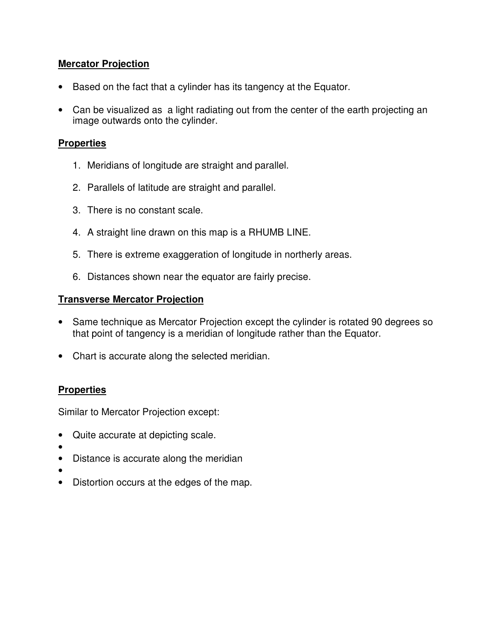### **Mercator Projection**

- Based on the fact that a cylinder has its tangency at the Equator.
- Can be visualized as a light radiating out from the center of the earth projecting an image outwards onto the cylinder.

#### **Properties**

- 1. Meridians of longitude are straight and parallel.
- 2. Parallels of latitude are straight and parallel.
- 3. There is no constant scale.
- 4. A straight line drawn on this map is a RHUMB LINE.
- 5. There is extreme exaggeration of longitude in northerly areas.
- 6. Distances shown near the equator are fairly precise.

### **Transverse Mercator Projection**

- Same technique as Mercator Projection except the cylinder is rotated 90 degrees so that point of tangency is a meridian of longitude rather than the Equator.
- Chart is accurate along the selected meridian.

### **Properties**

Similar to Mercator Projection except:

- Quite accurate at depicting scale.
- •
- Distance is accurate along the meridian
- •
- Distortion occurs at the edges of the map.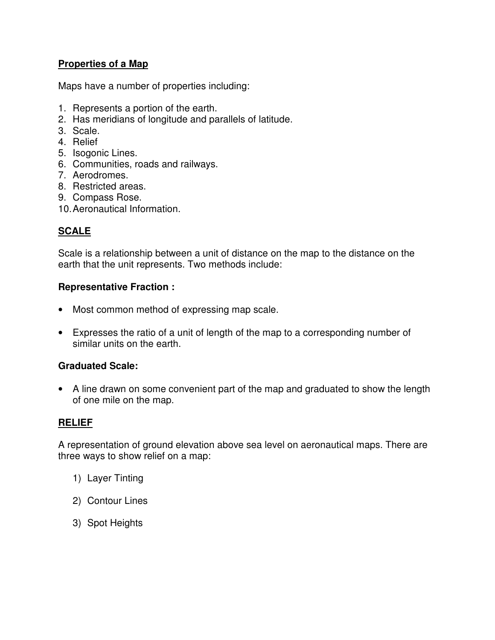## **Properties of a Map**

Maps have a number of properties including:

- 1. Represents a portion of the earth.
- 2. Has meridians of longitude and parallels of latitude.
- 3. Scale.
- 4. Relief
- 5. Isogonic Lines.
- 6. Communities, roads and railways.
- 7. Aerodromes.
- 8. Restricted areas.
- 9. Compass Rose.
- 10. Aeronautical Information.

# **SCALE**

Scale is a relationship between a unit of distance on the map to the distance on the earth that the unit represents. Two methods include:

### **Representative Fraction :**

- Most common method of expressing map scale.
- Expresses the ratio of a unit of length of the map to a corresponding number of similar units on the earth.

### **Graduated Scale:**

• A line drawn on some convenient part of the map and graduated to show the length of one mile on the map.

#### **RELIEF**

A representation of ground elevation above sea level on aeronautical maps. There are three ways to show relief on a map:

- 1) Layer Tinting
- 2) Contour Lines
- 3) Spot Heights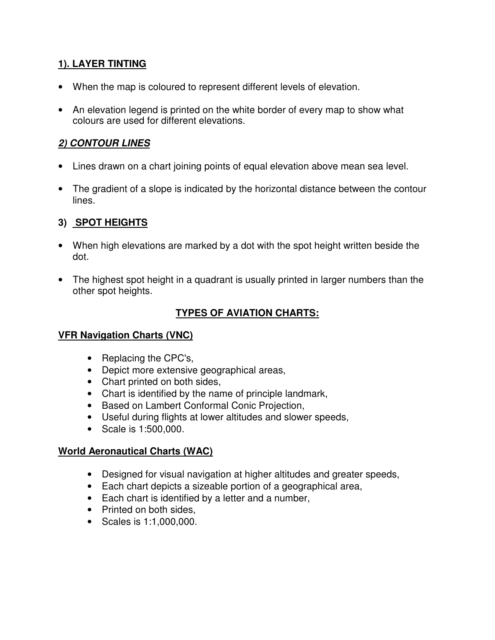# **1). LAYER TINTING**

- When the map is coloured to represent different levels of elevation.
- An elevation legend is printed on the white border of every map to show what colours are used for different elevations.

### **2) CONTOUR LINES**

- Lines drawn on a chart joining points of equal elevation above mean sea level.
- The gradient of a slope is indicated by the horizontal distance between the contour lines.

## **3) SPOT HEIGHTS**

- When high elevations are marked by a dot with the spot height written beside the dot.
- The highest spot height in a quadrant is usually printed in larger numbers than the other spot heights.

# **TYPES OF AVIATION CHARTS:**

### **VFR Navigation Charts (VNC)**

- Replacing the CPC's,
- Depict more extensive geographical areas,
- Chart printed on both sides,
- Chart is identified by the name of principle landmark,
- Based on Lambert Conformal Conic Projection,
- Useful during flights at lower altitudes and slower speeds,
- Scale is 1:500,000.

#### **World Aeronautical Charts (WAC)**

- Designed for visual navigation at higher altitudes and greater speeds,
- Each chart depicts a sizeable portion of a geographical area,
- Each chart is identified by a letter and a number,
- Printed on both sides,
- Scales is 1:1,000,000.